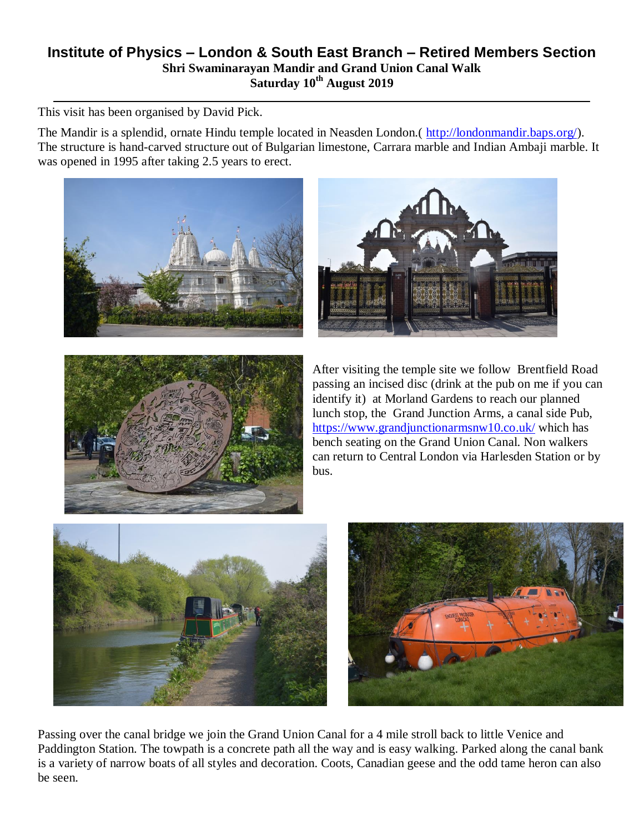## **Institute of Physics – London & South East Branch – Retired Members Section Shri Swaminarayan Mandir and Grand Union Canal Walk Saturday 10th August 2019**

This visit has been organised by David Pick.

The Mandir is a splendid, ornate Hindu temple located in Neasden London.( [http://londonmandir.baps.org/\)](http://londonmandir.baps.org/). The structure is hand-carved structure out of Bulgarian limestone, Carrara marble and Indian Ambaji marble. It was opened in 1995 after taking 2.5 years to erect.







After visiting the temple site we follow Brentfield Road passing an incised disc (drink at the pub on me if you can identify it) at Morland Gardens to reach our planned lunch stop, the Grand Junction Arms, a canal side Pub, <https://www.grandjunctionarmsnw10.co.uk/> which has bench seating on the Grand Union Canal. Non walkers can return to Central London via Harlesden Station or by bus.





Passing over the canal bridge we join the Grand Union Canal for a 4 mile stroll back to little Venice and Paddington Station. The towpath is a concrete path all the way and is easy walking. Parked along the canal bank is a variety of narrow boats of all styles and decoration. Coots, Canadian geese and the odd tame heron can also be seen.